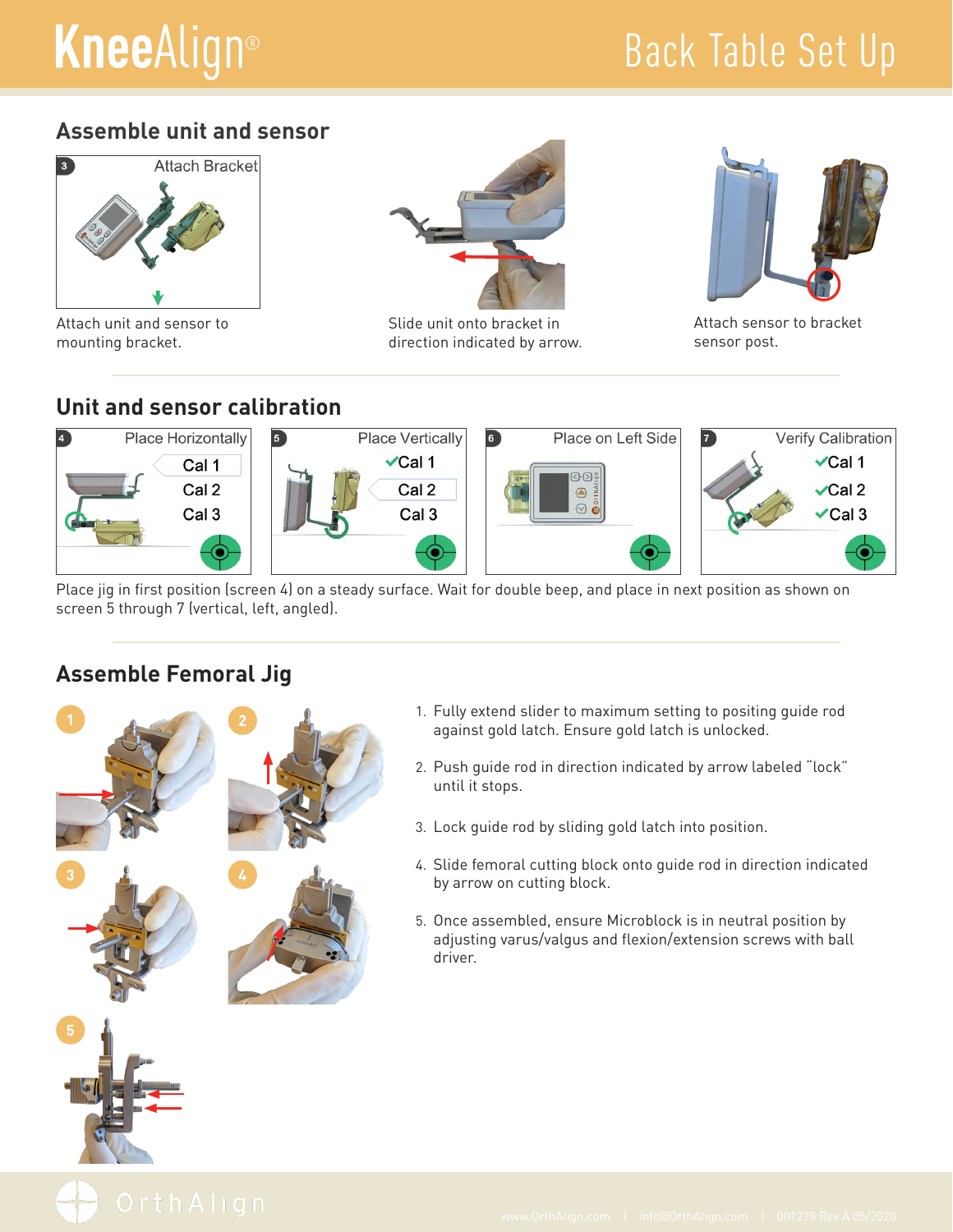# **KneeAlign®**

### Back Table Set Up

#### **Assemble unit and sensor**



Attach unit and sensor to mounting bracket.



Slide unit onto bracket in direction indicated by arrow.



Attach sensor to bracket sensor post.

#### **Unit and sensor calibration**



Place jig in first position (screen 4) on a steady surface. Wait for double beep, and place in next position as shown on screen 5 through 7 (vertical, left, angled).

#### **Assemble Femoral Jig**

**1 2**

**3 4**



- 2. Push guide rod in direction indicated by arrow labeled "lock" until it stops.
- 3. Lock guide rod by sliding gold latch into position.
- 4. Slide femoral cutting block onto guide rod in direction indicated by arrow on cutting block.
- 5. Once assembled, ensure Microblock is in neutral position by adjusting varus/valgus and flexion/extension screws with ball driver.